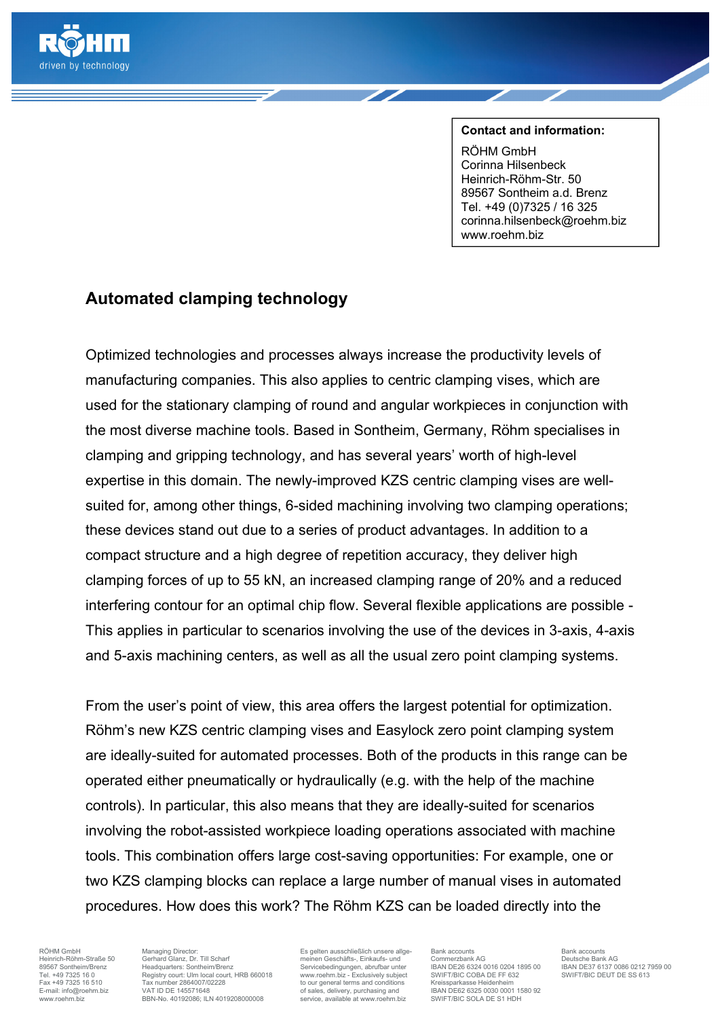

## **Contact and information:**

RÖHM GmbH Corinna Hilsenbeck Heinrich-Röhm-Str. 50 89567 Sontheim a.d. Brenz Tel. +49 (0)7325 / 16 325 corinna.hilsenbeck@roehm.biz www.roehm.biz

## **Automated clamping technology**

Optimized technologies and processes always increase the productivity levels of manufacturing companies. This also applies to centric clamping vises, which are used for the stationary clamping of round and angular workpieces in conjunction with the most diverse machine tools. Based in Sontheim, Germany, Röhm specialises in clamping and gripping technology, and has several years' worth of high-level expertise in this domain. The newly-improved KZS centric clamping vises are wellsuited for, among other things, 6-sided machining involving two clamping operations; these devices stand out due to a series of product advantages. In addition to a compact structure and a high degree of repetition accuracy, they deliver high clamping forces of up to 55 kN, an increased clamping range of 20% and a reduced interfering contour for an optimal chip flow. Several flexible applications are possible - This applies in particular to scenarios involving the use of the devices in 3-axis, 4-axis and 5-axis machining centers, as well as all the usual zero point clamping systems.

From the user's point of view, this area offers the largest potential for optimization. Röhm's new KZS centric clamping vises and Easylock zero point clamping system are ideally-suited for automated processes. Both of the products in this range can be operated either pneumatically or hydraulically (e.g. with the help of the machine controls). In particular, this also means that they are ideally-suited for scenarios involving the robot-assisted workpiece loading operations associated with machine tools. This combination offers large cost-saving opportunities: For example, one or two KZS clamping blocks can replace a large number of manual vises in automated procedures. How does this work? The Röhm KZS can be loaded directly into the

RÖHM GmbH Managing Director: Es gelten ausschließlich unsere allge-<br>
Heinrich-Röhm-Straße 50 Gerhard Glanz, Dr. Till Scharf meinen Geschäfts-, Einkaufs- und Commerzbank AG Deutsche Bank AG<br>
89567 Sontheim/Brenz Headquarter Heinrich-Röhm-Straße 50 Gerhard Glanz, Dr. Till Scharf meinen Geschäfts-, Einkaufs- und Commerzbank AG Deutsche Bank AG Deutsche Bank AG<br>19567 Sontheim/Brenz Headquarters: Sontheim/Brenz Straße (1990) Straße Straße deutsch Tel. +49 7325 16 0 Registry court: Ulm local court, HRB 660018 www.roebm.biz - Exclusively subject SWIFT/BIC COBA DEFF 63<br>Tax +49 7325 16 510 Registry court: Ulm local court, HRB 660018 www.roebm.biz - Exclusively subject Fax +49 7325 16 510 Tax number 2864007/02228 to our general terms and conditions<br>
E-mail: info@roehm.biz VAT ID DE 145571648 of sales, delivery, purchasing and E-mail: info@roehm.biz VAT ID DE 145571648 of sales, delivery, purchasing and IBAN DE62 6325 0030 0001 1580 92<br>Www.mehm.biz BRN-No. 40192086: ILN 4019208000008 service. available at www.roehm.biz SWIFT/BIC SOLA DE S1 HDH WW.ROEHM.com<br>BBN-No. 40192086; ILN 4019208000008

**BRAN DE26 6324 0016 0204 1895 00<br>SWIFT/BIC COBA DE FF 632**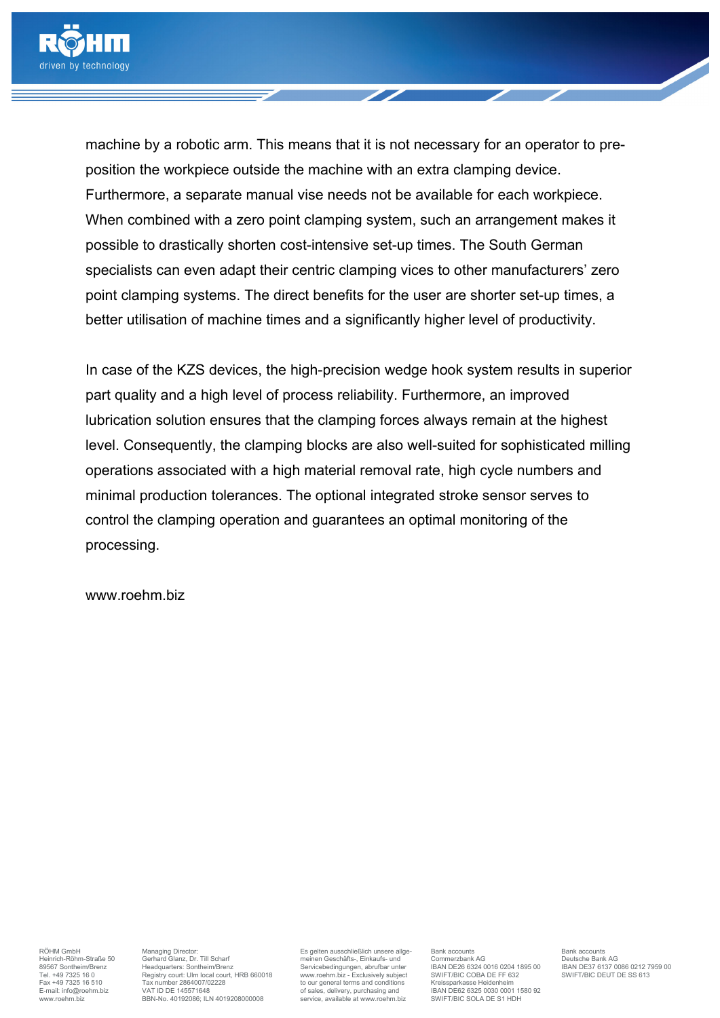

machine by a robotic arm. This means that it is not necessary for an operator to preposition the workpiece outside the machine with an extra clamping device. Furthermore, a separate manual vise needs not be available for each workpiece. When combined with a zero point clamping system, such an arrangement makes it possible to drastically shorten cost-intensive set-up times. The South German specialists can even adapt their centric clamping vices to other manufacturers' zero point clamping systems. The direct benefits for the user are shorter set-up times, a better utilisation of machine times and a significantly higher level of productivity.

In case of the KZS devices, the high-precision wedge hook system results in superior part quality and a high level of process reliability. Furthermore, an improved lubrication solution ensures that the clamping forces always remain at the highest level. Consequently, the clamping blocks are also well-suited for sophisticated milling operations associated with a high material removal rate, high cycle numbers and minimal production tolerances. The optional integrated stroke sensor serves to control the clamping operation and guarantees an optimal monitoring of the processing.

www.roehm.biz

RÖHM GmbH Managing Director: Es gelten ausschließlich unsere allge-<br>
Heinrich-Röhm-Straße 50 Gerhard Glanz, Dr. Till Scharf meinen Geschäfts-, Einkaufs- und Commerzbank AG Deutsche Bank AG<br>
89567 Sontheim/Brenz Headquarter Heinrich-Röhm-Straße 50 Gerhard Glanz, Dr. Till Scharf meinen Geschäfts-, Einkaufs- und Commerzbank AG Deutsche Bank AG<br>Berich-Röhm-Straße 50 Gerhard Glanz, Dr. Till Scharf meinen Geschäfts-, Einkaufs- und Commerzbank AG D Tel. +49 7325 16 0 Registry court: Ulm local court, HRB 660018 www.roebm.biz - Exclusively subject SWIFT/BIC COBA DEFF 63<br>Tax +49 7325 16 510 Registry court: Ulm local court, HRB 660018 www.roebm.biz - Exclusively subject Fax +49 7325 16 510 Tax number 2864007/02228 to our general terms and conditions Fax +49 7325 16 510 Tax number 2864007/02228 to our general terms and conditions Funal: info@roehm.biz VAT ID DE 145571648 of sales, delivery E-mail: info@roehm.biz VAT ID DE 145571648 of sales, delivery, purchasing and IBAN DE62 6325 0030 0001 1580 92<br>Www.mehm.biz BRN-No. 40192086: ILN 4019208000008 service. available at www.roehm.biz SWIFT/BIC SOLA DE S1 HDH WW.ROEHM.com<br>BBN-No. 40192086; ILN 4019208000008

**BRAN DE26 6324 0016 0204 1895 00<br>SWIFT/BIC COBA DE FF 632**